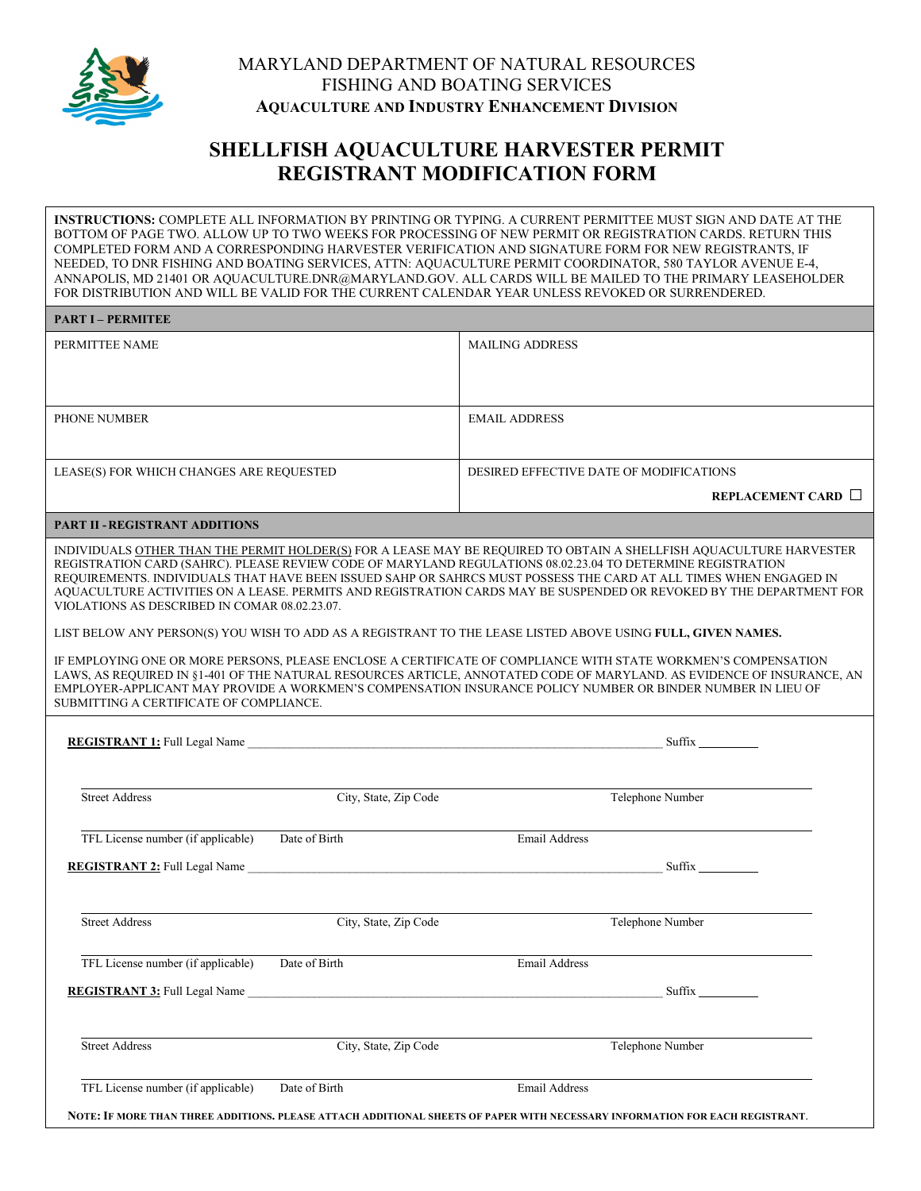

## MARYLAND DEPARTMENT OF NATURAL RESOURCES FISHING AND BOATING SERVICES **AQUACULTURE AND INDUSTRY ENHANCEMENT DIVISION**

## **SHELLFISH AQUACULTURE HARVESTER PERMIT REGISTRANT MODIFICATION FORM**

**INSTRUCTIONS:** COMPLETE ALL INFORMATION BY PRINTING OR TYPING. A CURRENT PERMITTEE MUST SIGN AND DATE AT THE BOTTOM OF PAGE TWO. ALLOW UP TO TWO WEEKS FOR PROCESSING OF NEW PERMIT OR REGISTRATION CARDS. RETURN THIS COMPLETED FORM AND A CORRESPONDING HARVESTER VERIFICATION AND SIGNATURE FORM FOR NEW REGISTRANTS, IF NEEDED, TO DNR FISHING AND BOATING SERVICES, ATTN: AQUACULTURE PERMIT COORDINATOR, 580 TAYLOR AVENUE E-4, ANNAPOLIS, MD 21401 OR AQUACULTURE.DNR@MARYLAND.GOV. ALL CARDS WILL BE MAILED TO THE PRIMARY LEASEHOLDER FOR DISTRIBUTION AND WILL BE VALID FOR THE CURRENT CALENDAR YEAR UNLESS REVOKED OR SURRENDERED.

| <b>PART I - PERMITEE</b>                      |                       |                                                                                                                                                                                                                                                                                                                                                                                                                                                                                |  |
|-----------------------------------------------|-----------------------|--------------------------------------------------------------------------------------------------------------------------------------------------------------------------------------------------------------------------------------------------------------------------------------------------------------------------------------------------------------------------------------------------------------------------------------------------------------------------------|--|
| PERMITTEE NAME                                |                       | <b>MAILING ADDRESS</b>                                                                                                                                                                                                                                                                                                                                                                                                                                                         |  |
|                                               |                       |                                                                                                                                                                                                                                                                                                                                                                                                                                                                                |  |
|                                               |                       |                                                                                                                                                                                                                                                                                                                                                                                                                                                                                |  |
| PHONE NUMBER                                  |                       | <b>EMAIL ADDRESS</b>                                                                                                                                                                                                                                                                                                                                                                                                                                                           |  |
|                                               |                       |                                                                                                                                                                                                                                                                                                                                                                                                                                                                                |  |
| LEASE(S) FOR WHICH CHANGES ARE REQUESTED      |                       | DESIRED EFFECTIVE DATE OF MODIFICATIONS                                                                                                                                                                                                                                                                                                                                                                                                                                        |  |
|                                               |                       | REPLACEMENT CARD □                                                                                                                                                                                                                                                                                                                                                                                                                                                             |  |
| <b>PART II - REGISTRANT ADDITIONS</b>         |                       |                                                                                                                                                                                                                                                                                                                                                                                                                                                                                |  |
| VIOLATIONS AS DESCRIBED IN COMAR 08.02.23.07. |                       | INDIVIDUALS OTHER THAN THE PERMIT HOLDER(S) FOR A LEASE MAY BE REQUIRED TO OBTAIN A SHELLFISH AQUACULTURE HARVESTER<br>REGISTRATION CARD (SAHRC). PLEASE REVIEW CODE OF MARYLAND REGULATIONS 08.02.23.04 TO DETERMINE REGISTRATION<br>REQUIREMENTS. INDIVIDUALS THAT HAVE BEEN ISSUED SAHP OR SAHRCS MUST POSSESS THE CARD AT ALL TIMES WHEN ENGAGED IN<br>AQUACULTURE ACTIVITIES ON A LEASE. PERMITS AND REGISTRATION CARDS MAY BE SUSPENDED OR REVOKED BY THE DEPARTMENT FOR |  |
|                                               |                       | LIST BELOW ANY PERSON(S) YOU WISH TO ADD AS A REGISTRANT TO THE LEASE LISTED ABOVE USING FULL, GIVEN NAMES.                                                                                                                                                                                                                                                                                                                                                                    |  |
| SUBMITTING A CERTIFICATE OF COMPLIANCE.       |                       | IF EMPLOYING ONE OR MORE PERSONS, PLEASE ENCLOSE A CERTIFICATE OF COMPLIANCE WITH STATE WORKMEN'S COMPENSATION<br>LAWS, AS REQUIRED IN §1-401 OF THE NATURAL RESOURCES ARTICLE, ANNOTATED CODE OF MARYLAND. AS EVIDENCE OF INSURANCE, AN<br>EMPLOYER-APPLICANT MAY PROVIDE A WORKMEN'S COMPENSATION INSURANCE POLICY NUMBER OR BINDER NUMBER IN LIEU OF                                                                                                                        |  |
| <b>REGISTRANT 1:</b> Full Legal Name          |                       | <b>Suffix</b>                                                                                                                                                                                                                                                                                                                                                                                                                                                                  |  |
| <b>Street Address</b>                         | City, State, Zip Code | Telephone Number                                                                                                                                                                                                                                                                                                                                                                                                                                                               |  |
| TFL License number (if applicable)            | Date of Birth         | Email Address                                                                                                                                                                                                                                                                                                                                                                                                                                                                  |  |
| REGISTRANT 2: Full Legal Name                 |                       | Suffix                                                                                                                                                                                                                                                                                                                                                                                                                                                                         |  |
| <b>Street Address</b>                         | City, State, Zip Code | Telephone Number                                                                                                                                                                                                                                                                                                                                                                                                                                                               |  |
| TFL License number (if applicable)            | Date of Birth         | Email Address                                                                                                                                                                                                                                                                                                                                                                                                                                                                  |  |
| <b>REGISTRANT 3: Full Legal Name</b>          |                       | Suffix                                                                                                                                                                                                                                                                                                                                                                                                                                                                         |  |
| <b>Street Address</b>                         | City, State, Zip Code | Telephone Number                                                                                                                                                                                                                                                                                                                                                                                                                                                               |  |
|                                               |                       |                                                                                                                                                                                                                                                                                                                                                                                                                                                                                |  |
| TFL License number (if applicable)            | Date of Birth         | Email Address                                                                                                                                                                                                                                                                                                                                                                                                                                                                  |  |
|                                               |                       | NOTE: IF MORE THAN THREE ADDITIONS, PLEASE ATTACH ADDITIONAL SHEETS OF PAPER WITH NECESSARY INFORMATION FOR EACH REGISTRANT.                                                                                                                                                                                                                                                                                                                                                   |  |